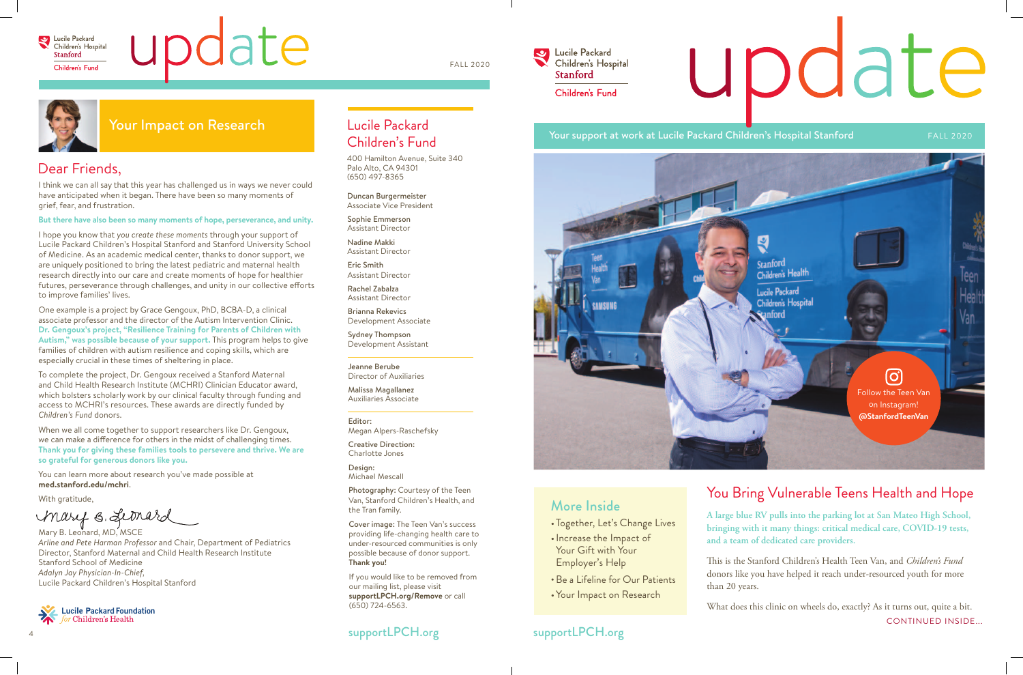

# pdate

**A large blue RV pulls into the parking lot at San Mateo High School, bringing with it many things: critical medical care, COVID-19 tests, and a team of dedicated care providers.**

This is the Stanford Children's Health Teen Van, and *Children's Fund* donors like you have helped it reach under-resourced youth for more than 20 years.

# You Bring Vulnerable Teens Health and Hope More Inside

- •Together, Let's Change Lives
- Increase the Impact of Your Gift with Your Employer's Help
- Be a Lifeline for Our Patients
- Your Impact on Research

#### Dear Friends,

I think we can all say that this year has challenged us in ways we never could have anticipated when it began. There have been so many moments of grief, fear, and frustration.

#### **But there have also been so many moments of hope, perseverance, and unity.**

I hope you know that *you create these moments* through your support of Lucile Packard Children's Hospital Stanford and Stanford University School of Medicine. As an academic medical center, thanks to donor support, we are uniquely positioned to bring the latest pediatric and maternal health research directly into our care and create moments of hope for healthier futures, perseverance through challenges, and unity in our collective efforts to improve families' lives.

One example is a project by Grace Gengoux, PhD, BCBA-D, a clinical associate professor and the director of the Autism Intervention Clinic. **Dr. Gengoux's project, "Resilience Training for Parents of Children with Autism," was possible because of your support.** This program helps to give families of children with autism resilience and coping skills, which are especially crucial in these times of sheltering in place.

To complete the project, Dr. Gengoux received a Stanford Maternal and Child Health Research Institute (MCHRI) Clinician Educator award, which bolsters scholarly work by our clinical faculty through funding and access to MCHRI's resources. These awards are directly funded by *Children's Fund* donors.

> What does this clinic on wheels do, exactly? As it turns out, quite a bit. CONTINUED INSIDE...

#### supportLPCH.org supportLPCH.org

# update

When we all come together to support researchers like Dr. Gengoux, we can make a difference for others in the midst of challenging times. **Thank you for giving these families tools to persevere and thrive. We are so grateful for generous donors like you.** 

You can learn more about research you've made possible at **med.stanford.edu/mchri**.

With gratitude,

Mary B. Leonard

Mary B. Leonard, MD, MSCE *Arline and Pete Harman Professor* and Chair, Department of Pediatrics Director, Stanford Maternal and Child Health Research Institute Stanford School of Medicine *Adalyn Jay Physician-In-Chief,*  Lucile Packard Children's Hospital Stanford



#### Lucile Packard Children's Fund

400 Hamilton Avenue, Suite 340 Palo Alto, CA 94301 (650) 497-8365

Duncan Burgermeister Associate Vice President

Sophie Emmerson Assistant Director

Nadine Makki Assistant Director

Eric Smith Assistant Director

Rachel Zabalza Assistant Director

Brianna Rekevics Development Associate

Sydney Thompson Development Assistant

Jeanne Berube Director of Auxiliaries

Malissa Magallanez Auxiliaries Associate

#### Editor:

Megan Alpers-Raschefsky

Creative Direction: Charlotte Jones

Design: Michael Mescall

Photography: Courtesy of the Teen Van, Stanford Children's Health, and the Tran family.

Cover image: The Teen Van's success providing life-changing health care to under-resourced communities is only possible because of donor support. **Thank you!** 

If you would like to be removed from our mailing list, please visit **supportLPCH.org/Remove** or call (650) 724-6563.

#### Your support at work at Lucile Packard Children's Hospital Stanford FALL 2020

#### Your Impact on Research



FALL 2020

U Lucile Packard Children's Hospital **Stanford** Children's Fund